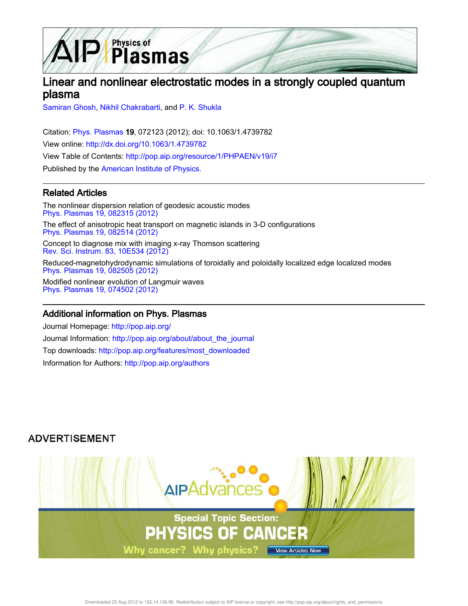

# Linear and nonlinear electrostatic modes in a strongly coupled quantum plasma

Samiran Ghosh, Nikhil Chakrabarti, and P. K. Shukla

Citation: Phys. Plasmas 19, 072123 (2012); doi: 10.1063/1.4739782 View online: http://dx.doi.org/10.1063/1.4739782 View Table of Contents: http://pop.aip.org/resource/1/PHPAEN/v19/i7 Published by the American Institute of Physics.

## Related Articles

The nonlinear dispersion relation of geodesic acoustic modes Phys. Plasmas 19, 082315 (2012) The effect of anisotropic heat transport on magnetic islands in 3-D configurations Phys. Plasmas 19, 082514 (2012)

Concept to diagnose mix with imaging x-ray Thomson scattering Rev. Sci. Instrum. 83, 10E534 (2012)

Reduced-magnetohydrodynamic simulations of toroidally and poloidally localized edge localized modes Phys. Plasmas 19, 082505 (2012)

Modified nonlinear evolution of Langmuir waves Phys. Plasmas 19, 074502 (2012)

### Additional information on Phys. Plasmas

Journal Homepage: http://pop.aip.org/ Journal Information: http://pop.aip.org/about/about\_the\_journal Top downloads: http://pop.aip.org/features/most\_downloaded Information for Authors: http://pop.aip.org/authors

# **ADVERTISEMENT**

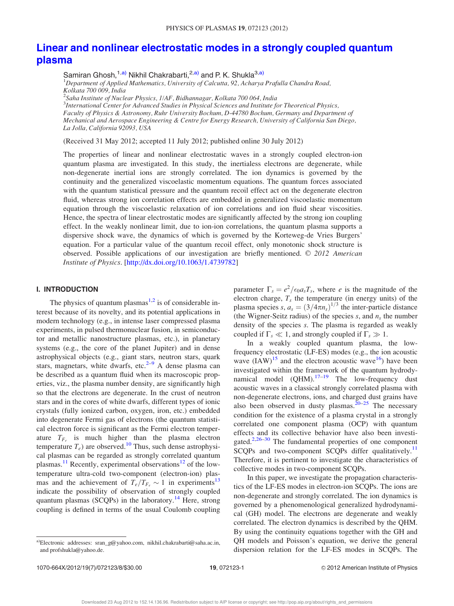## Linear and nonlinear electrostatic modes in a strongly coupled quantum plasma

Samiran Ghosh,<sup>1,a)</sup> Nikhil Chakrabarti,<sup>2,a)</sup> and P. K. Shukla<sup>3,a)</sup>

<sup>1</sup>*Department of Applied Mathematics, University of Calcutta, 92, Acharya Prafulla Chandra Road, Kolkata 700 009, India*

2 *Saha Institute of Nuclear Physics, 1/AF, Bidhannagar, Kolkata 700 064, India* 3 *International Center for Advanced Studies in Physical Sciences and Institute for Theoretical Physics, Faculty of Physics & Astronomy, Ruhr University Bochum, D-44780 Bochum, Germany and Department of Mechanical and Aerospace Engineering & Centre for Energy Research, University of California San Diego, La Jolla, California 92093, USA*

(Received 31 May 2012; accepted 11 July 2012; published online 30 July 2012)

The properties of linear and nonlinear electrostatic waves in a strongly coupled electron-ion quantum plasma are investigated. In this study, the inertialess electrons are degenerate, while non-degenerate inertial ions are strongly correlated. The ion dynamics is governed by the continuity and the generalized viscoelastic momentum equations. The quantum forces associated with the quantum statistical pressure and the quantum recoil effect act on the degenerate electron fluid, whereas strong ion correlation effects are embedded in generalized viscoelastic momentum equation through the viscoelastic relaxation of ion correlations and ion fluid shear viscosities. Hence, the spectra of linear electrostatic modes are significantly affected by the strong ion coupling effect. In the weakly nonlinear limit, due to ion-ion correlations, the quantum plasma supports a dispersive shock wave, the dynamics of which is governed by the Korteweg-de Vries Burgers' equation. For a particular value of the quantum recoil effect, only monotonic shock structure is observed. Possible applications of our investigation are briefly mentioned. © 2012 American *Institute of Physics*. [http://dx.doi.org/10.1063/1.4739782]

### I. INTRODUCTION

The physics of quantum plasmas $1,2$  is of considerable interest because of its novelty, and its potential applications in modern technology (e.g., in intense laser compressed plasma experiments, in pulsed thermonuclear fusion, in semiconductor and metallic nanostructure plasmas, etc.), in planetary systems (e.g., the core of the planet Jupiter) and in dense astrophysical objects (e.g., giant stars, neutron stars, quark stars, magnetars, white dwarfs, etc. $2-9$  A dense plasma can be described as a quantum fluid when its macroscopic properties, viz., the plasma number density, are significantly high so that the electrons are degenerate. In the crust of neutron stars and in the cores of white dwarfs, different types of ionic crystals (fully ionized carbon, oxygen, iron, etc.) embedded into degenerate Fermi gas of electrons (the quantum statistical electron force is significant as the Fermi electron temperature  $T_{F_e}$  is much higher than the plasma electron temperature  $T_e$ ) are observed.<sup>10</sup> Thus, such dense astrophysical plasmas can be regarded as strongly correlated quantum plasmas.<sup>11</sup> Recently, experimental observations<sup>12</sup> of the lowtemperature ultra-cold two-component (electron-ion) plasmas and the achievement of  $T_e/T_{F_e} \sim 1$  in experiments<sup>13</sup> indicate the possibility of observation of strongly coupled quantum plasmas (SCQPs) in the laboratory.<sup>14</sup> Here, strong coupling is defined in terms of the usual Coulomb coupling

parameter  $\Gamma_s = e^2/\epsilon_0 a_s T_s$ , where *e* is the magnitude of the electron charge,  $T_s$  the temperature (in energy units) of the plasma species *s*,  $a_s = (3/4\pi n_s)^{1/3}$  the inter-particle distance (the Wigner-Seitz radius) of the species  $s$ , and  $n<sub>s</sub>$  the number density of the species *s*. The plasma is regarded as weakly coupled if  $\Gamma_s \ll 1$ , and strongly coupled if  $\Gamma_s \gg 1$ .

In a weakly coupled quantum plasma, the lowfrequency electrostatic (LF-ES) modes (e.g., the ion acoustic wave  $(IAW)^{15}$  and the electron acoustic wave<sup>16</sup>) have been investigated within the framework of the quantum hydrodynamical model  $(QHM)$ .<sup>17–19</sup> The low-frequency dust acoustic waves in a classical strongly correlated plasma with non-degenerate electrons, ions, and charged dust grains have also been observed in dusty plasmas. $20-25$  The necessary condition for the existence of a plasma crystal in a strongly correlated one component plasma (OCP) with quantum effects and its collective behavior have also been investigated. $2,26-30$  The fundamental properties of one component SCQPs and two-component SCQPs differ qualitatively.<sup>11</sup> Therefore, it is pertinent to investigate the characteristics of collective modes in two-component SCQPs.

In this paper, we investigate the propagation characteristics of the LF-ES modes in electron-ion SCQPs. The ions are non-degenerate and strongly correlated. The ion dynamics is governed by a phenomenological generalized hydrodynamical (GH) model. The electrons are degenerate and weakly correlated. The electron dynamics is described by the QHM. By using the continuity equations together with the GH and QH models and Poisson's equation, we derive the general dispersion relation for the LF-ES modes in SCQPs. The

a)Electronic addresses: sran\_g@yahoo.com, nikhil.chakrabarti@saha.ac.in, and profshukla@yahoo.de.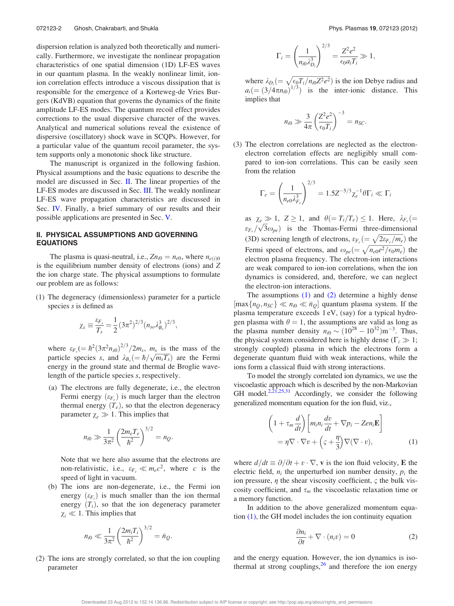dispersion relation is analyzed both theoretically and numerically. Furthermore, we investigate the nonlinear propagation characteristics of one spatial dimension (1D) LF-ES waves in our quantum plasma. In the weakly nonlinear limit, ionion correlation effects introduce a viscous dissipation that is responsible for the emergence of a Korteweg-de Vries Burgers (KdVB) equation that governs the dynamics of the finite amplitude LF-ES modes. The quantum recoil effect provides corrections to the usual dispersive character of the waves. Analytical and numerical solutions reveal the existence of dispersive (oscillatory) shock wave in SCQPs. However, for a particular value of the quantum recoil parameter, the system supports only a monotonic shock like structure.

The manuscript is organized in the following fashion. Physical assumptions and the basic equations to describe the model are discussed in Sec. II. The linear properties of the LF-ES modes are discussed in Sec. III. The weakly nonlinear LF-ES wave propagation characteristics are discussed in Sec. IV. Finally, a brief summary of our results and their possible applications are presented in Sec. V.

### II. PHYSICAL ASSUMPTIONS AND GOVERNING EQUATIONS

The plasma is quasi-neutral, i.e.,  $Zn_{i0} = n_{e0}$ , where  $n_{e(i)0}$ is the equilibrium number density of electrons (ions) and *Z* the ion charge state. The physical assumptions to formulate our problem are as follows:

(1) The degeneracy (dimensionless) parameter for a particle species *s* is defined as

$$
\chi_s \equiv \frac{\varepsilon_{F_s}}{T_s} = \frac{1}{2} (3\pi^2)^{2/3} (n_{so} \lambda_{B_s}^3)^{2/3},
$$

where  $\varepsilon_{F_s}$   $\left(=\hbar^2(3\pi^2n_{s0})^{2/3}/2m_s$ ,  $m_s$  is the mass of the particle species *s*, and  $\lambda_{B_s} = \hbar / \sqrt{m_s T_s}$  are the Fermi energy in the ground state and thermal de Broglie wavelength of the particle species *s*, respectively.

(a) The electrons are fully degenerate, i.e., the electron Fermi energy  $(\varepsilon_{F_e})$  is much larger than the electron thermal energy  $(T_e)$ , so that the electron degeneracy parameter  $\chi_e \gg 1$ . This implies that

$$
n_{i0} \gg \frac{1}{3\pi^2} \left(\frac{2m_e T_e}{\hbar^2}\right)^{3/2} = n_Q.
$$

Note that we here also assume that the electrons are non-relativistic, i.e.,  $\varepsilon_{F_e} \ll m_e c^2$ , where *c* is the speed of light in vacuum.

(b) The ions are non-degenerate, i.e., the Fermi ion energy  $(\varepsilon_{F_i})$  is much smaller than the ion thermal energy  $(T_i)$ , so that the ion degeneracy parameter  $\chi_i \ll 1$ . This implies that

$$
n_{i0} \ll \frac{1}{3\pi^2} \left(\frac{2m_iT_i}{\hbar^2}\right)^{3/2} = \bar{n}_Q.
$$

(2) The ions are strongly correlated, so that the ion coupling parameter

$$
\Gamma_i = \left(\frac{1}{n_{i0}\lambda_{D_i}^3}\right)^{2/3} = \frac{Z^2e^2}{\epsilon_0 a_i T_i} \gg 1,
$$

where  $\lambda_{D_i} = \sqrt{\frac{\epsilon_0 T_i}{n_{i0} Z^2 e^2}}$  is the ion Debye radius and  $a_i = (3/4\pi n_{i0})^{1/3}$  is the inter-ionic distance. This implies that

$$
n_{i0} \gg \frac{3}{4\pi} \left(\frac{Z^2 e^2}{\epsilon_0 T_i}\right)^{-3} = n_{SC}.
$$

(3) The electron correlations are neglected as the electronelectron correlation effects are negligibly small compared to ion-ion correlations. This can be easily seen from the relation

$$
\Gamma_e = \left(\frac{1}{n_{e0}\lambda_{F_e}^3}\right)^{2/3} = 1.5Z^{-5/3}\chi_e^{-1}\theta\Gamma_i \ll \Gamma_i
$$

as  $\chi_e \gg 1$ ,  $Z \geq 1$ , and  $\theta = T_i/T_e \leq 1$ . Here,  $\lambda_{F_e} (=$  $v_{F_e}/\sqrt{3}\omega_{pe}$ ) is the Thomas-Fermi three-dimensional (3D) screening length of electrons,  $v_{F_e} = \sqrt{2\varepsilon_{F_e}/m_e}$ ) the Fermi speed of electrons, and  $\omega_{pe} = \sqrt{n_{e0}e^2/\epsilon_0 m_e}$ ) the electron plasma frequency. The electron-ion interactions are weak compared to ion-ion correlations, when the ion dynamics is considered, and, therefore, we can neglect the electron-ion interactions.

The assumptions (1) and (2) determine a highly dense  $[\max\{n_Q, n_{SC}\} \ll n_{i0} \ll \bar{n}_Q]$  quantum plasma system. If the plasma temperature exceeds 1 eV, (say) for a typical hydrogen plasma with  $\theta = 1$ , the assumptions are valid as long as the plasma number density  $n_{i0} \sim (10^{28} - 10^{32}) \text{m}^{-3}$ . Thus, the physical system considered here is highly dense ( $\Gamma$ <sub>i</sub>  $\gg$  1; strongly coupled) plasma in which the electrons form a degenerate quantum fluid with weak interactions, while the ions form a classical fluid with strong interactions.

To model the strongly correlated ion dynamics, we use the viscoelastic approach which is described by the non-Markovian GH model.<sup>2,21,25,31</sup> Accordingly, we consider the following generalized momentum equation for the ion fluid, viz.,

$$
\left(1 + \tau_m \frac{d}{dt}\right) \left[m_i n_i \frac{dv}{dt} + \nabla p_i - Z e n_i \mathbf{E}\right]
$$
  
=  $\eta \nabla \cdot \nabla v + \left(\varsigma + \frac{\eta}{3}\right) \nabla (\nabla \cdot v),$  (1)

where  $d/dt \equiv \partial/\partial t + v \cdot \nabla$ , **v** is the ion fluid velocity, **E** the electric field,  $n_i$  the unperturbed ion number density,  $p_i$  the ion pressure,  $\eta$  the shear viscosity coefficient,  $\varsigma$  the bulk viscosity coefficient, and  $\tau_m$  the viscoelastic relaxation time or a memory function.

In addition to the above generalized momentum equation (1), the GH model includes the ion continuity equation

$$
\frac{\partial n_i}{\partial t} + \nabla \cdot (n_i v) = 0 \tag{2}
$$

and the energy equation. However, the ion dynamics is isothermal at strong couplings, $2<sup>6</sup>$  and therefore the ion energy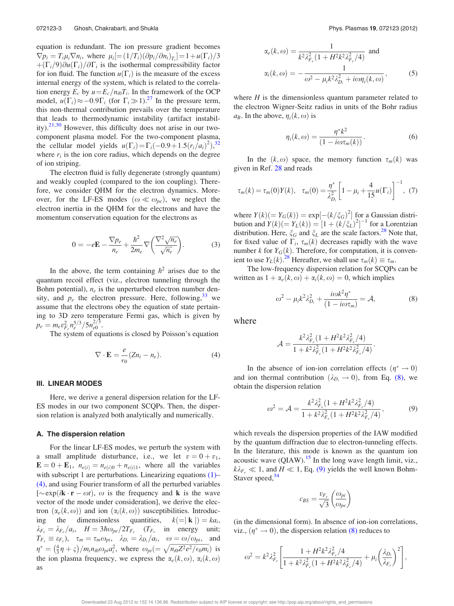equation is redundant. The ion pressure gradient becomes  $\nabla p_i = T_i \mu_i \nabla n_i$ , where  $\mu_i = (1/T_i)(\partial p_i/\partial n_i)_{T_i} = 1 + u(\Gamma_i)/3$  $+(\Gamma_i/9)\partial u(\Gamma_i)/\partial \Gamma_i$  is the isothermal compressibility factor for ion fluid. The function  $u(\Gamma_i)$  is the measure of the excess internal energy of the system, which is related to the correlation energy  $E_c$  by  $u = E_c/n_{i0}T_i$ . In the framework of the OCP model,  $u(\Gamma_i) \approx -0.9\Gamma_i$  (for  $\Gamma_i \gg 1$ ).<sup>27</sup> In the pressure term, this non-thermal contribution prevails over the temperature that leads to thermodynamic instability (artifact instability). $21,30$  However, this difficulty does not arise in our twocomponent plasma model. For the two-component plasma, the cellular model yields  $u(\Gamma_i) = \Gamma_i(-0.9 + 1.5(r_i/a_i)^2),^{32}$ where  $r_i$  is the ion core radius, which depends on the degree of ion striping.

The electron fluid is fully degenerate (strongly quantum) and weakly coupled (compared to the ion coupling). Therefore, we consider QHM for the electron dynamics. Moreover, for the LF-ES modes  $(\omega \ll \omega_{pe})$ , we neglect the electron inertia in the QHM for the electrons and have the momentum conservation equation for the electrons as

$$
0 = -e\mathbf{E} - \frac{\nabla p_e}{n_e} + \frac{\hbar^2}{2m_e}\nabla\left(\frac{\nabla^2\sqrt{n_e}}{\sqrt{n_e}}\right).
$$
 (3)

In the above, the term containing  $\hbar^2$  arises due to the quantum recoil effect (viz., electron tunneling through the Bohm potential),  $n_e$  is the unperturbed electron number density, and  $p_e$  the electron pressure. Here, following,  $33$  we assume that the electrons obey the equation of state pertaining to 3D zero temperature Fermi gas, which is given by  $p_e = m_e v_{F_e}^2 n_e^{5/3} / 5 n_{e0}^{2/3}.$ 

The system of equations is closed by Poisson's equation

$$
\nabla \cdot \mathbf{E} = \frac{e}{\epsilon_0} (Z n_i - n_e). \tag{4}
$$

#### III. LINEAR MODES

Here, we derive a general dispersion relation for the LF-ES modes in our two component SCQPs. Then, the dispersion relation is analyzed both analytically and numerically.

#### A. The dispersion relation

For the linear LF-ES modes, we perturb the system with a small amplitude disturbance, i.e., we let  $v = 0 + v_1$ ,  $\mathbf{E} = 0 + \mathbf{E}_1$ ,  $n_{e(i)} = n_{e(i)0} + n_{e(i)1}$ , where all the variables with subscript 1 are perturbations. Linearizing equations (1)– (4), and using Fourier transform of all the perturbed variables  $[\sim \exp(i\mathbf{k} \cdot \mathbf{r} - \omega t)]$ ,  $\omega$  is the frequency and **k** is the wave vector of the mode under consideration], we derive the electron  $(\alpha_e(k, \omega))$  and ion  $(\alpha_i(k, \omega))$  susceptibilities. Introduc-<br>ing the dimensionless quantities,  $k (= \mathbf{k} | ) = k a_i$ , dimensionless  $k (= \mathbf{k} | ) = ka_i,$  $\lambda_{F_e} = \lambda_{F_e} / a_i$ ,  $H = 3\hbar\omega_{pe} / 2T_{F_e}$  ( $T_{F_e}$  in energy unit;  $T_{F_e} \equiv \varepsilon_{F_e}$ ,  $\tau_m = \tau_m \omega_{pi}$ ,  $\lambda_{D_i} = \lambda_{D_i} / a_i$ ,  $\omega = \omega / \omega_{pi}$ , and  $\eta^* = \left(\frac{4}{3}\eta + \varsigma\right)/m_i n_{i0} \omega_{pi} a_i^2$ , where  $\omega_{pi} = \sqrt{n_{i0}Z^2 e^2/\epsilon_0 m_i}$  is the ion plasma frequency, we express the  $\alpha_e(k, \omega)$ ,  $\alpha_i(k, \omega)$ as

$$
\alpha_e(k,\omega) = \frac{1}{k^2 \lambda_{F_e}^2 (1 + H^2 k^2 \lambda_{F_e}^2 / 4)} \text{ and}
$$
  

$$
\alpha_i(k,\omega) = -\frac{1}{\omega^2 - \mu_i k^2 \lambda_{D_i}^2 + i\omega \eta_i(k,\omega)},
$$
 (5)

where *H* is the dimensionless quantum parameter related to the electron Wigner-Seitz radius in units of the Bohr radius  $a_B$ . In the above,  $\eta_i(k, \omega)$  is

$$
\eta_i(k,\omega) = \frac{\eta^* k^2}{(1 - i\omega \tau_m(k))}.
$$
\n(6)

In the  $(k, \omega)$  space, the memory function  $\tau_m(k)$  was given in Ref. 28 and reads

$$
\tau_m(k) = \tau_m(0)Y(k), \quad \tau_m(0) = \frac{\eta^*}{\lambda_{D_i}^2} \left[1 - \mu_i + \frac{4}{15}u(\Gamma_i)\right]^{-1}, \tag{7}
$$

where  $Y(k) (= Y_G(k)) = \exp[-(k/\xi_G)^2]$  for a Gaussian distribution and  $Y(k) (= Y_L(k)) = [1 + (k/\xi_L)^2]^{-1}$  for a Lorentzian distribution. Here,  $\zeta_G$  and  $\zeta_L$  are the scale factors.<sup>28</sup> Note that, for fixed value of  $\Gamma_i$ ,  $\tau_m(k)$  decreases rapidly with the wave number *k* for  $Y_G(k)$ . Therefore, for computation, it is convenient to use  $Y_L(k)$ .<sup>28</sup> Hereafter, we shall use  $\tau_m(k) \equiv \tau_m$ .

The low-frequency dispersion relation for SCQPs can be written as  $1 + \alpha_e(k, \omega) + \alpha_i(k, \omega) = 0$ , which implies

$$
\omega^2 - \mu_i k^2 \lambda_{D_i}^2 + \frac{i\omega k^2 \eta^*}{(1 - i\omega \tau_m)} = \mathcal{A},\tag{8}
$$

where

$$
\mathcal{A} = \frac{k^2 \lambda_{F_e}^2 (1 + H^2 k^2 \lambda_{F_e}^2 / 4)}{1 + k^2 \lambda_{F_e}^2 (1 + H^2 k^2 \lambda_{F_e}^2 / 4)}.
$$

In the absence of ion-ion correlation effects  $(\eta^* \to 0)$ and ion thermal contribution  $(\lambda_{D_i} \rightarrow 0)$ , from Eq. (8), we obtain the dispersion relation

$$
\omega^2 = \mathcal{A} = \frac{k^2 \lambda_{F_e}^2 (1 + H^2 k^2 \lambda_{F_e}^2 / 4)}{1 + k^2 \lambda_{F_e}^2 (1 + H^2 k^2 \lambda_{F_e}^2 / 4)},
$$
(9)

which reveals the dispersion properties of the IAW modified by the quantum diffraction due to electron-tunneling effects. In the literature, this mode is known as the quantum ion acoustic wave (QIAW).<sup>15</sup> In the long wave length limit, viz.,  $k\lambda_{F_e} \ll 1$ , and  $H \ll 1$ , Eq. (9) yields the well known Bohm-Staver speed,<sup>34</sup>

$$
c_{BS} = \frac{v_{F_e}}{\sqrt{3}} \left(\frac{\omega_{pi}}{\omega_{pe}}\right)
$$

(in the dimensional form). In absence of ion-ion correlations, viz.,  $(\eta^* \to 0)$ , the dispersion relation (8) reduces to

$$
\omega^2 = k^2 \lambda_{F_e}^2 \left[ \frac{1 + H^2 k^2 \lambda_{F_e}^2 / 4}{1 + k^2 \lambda_{F_e}^2 (1 + H^2 k^2 \lambda_{F_e}^2 / 4)} + \mu_i \left( \frac{\lambda_{D_i}}{\lambda_{F_e}} \right)^2 \right],
$$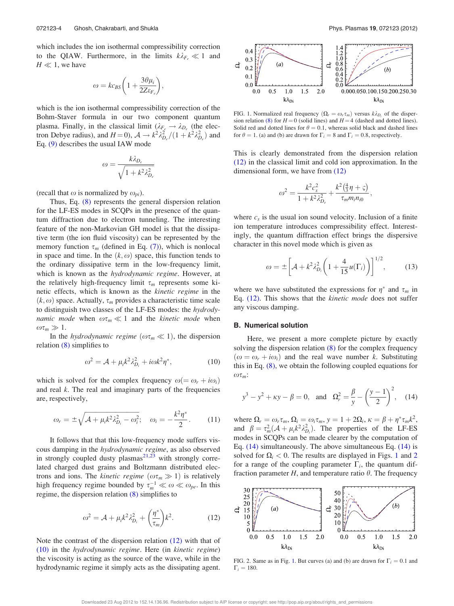which includes the ion isothermal compressibility correction to the QIAW. Furthermore, in the limits  $k\lambda_{F_e} \ll 1$  and  $H \ll 1$ , we have

$$
\omega = k c_{BS} \bigg( 1 + \frac{3\theta \mu_i}{2Z\varepsilon_{F_e}} \bigg),
$$

which is the ion isothermal compressibility correction of the Bohm-Staver formula in our two component quantum plasma. Finally, in the classical limit  $(\lambda_{F_e} \rightarrow \lambda_{D_e})$  (the electron Debye radius), and  $H = 0$ ,  $\mathcal{A} \to k^2 \lambda_{D_e}^2 / (1 + k^2 \lambda_{D_e}^2)$  and Eq. (9) describes the usual IAW mode

$$
\omega = \frac{k\lambda_{D_e}}{\sqrt{1 + k^2 \lambda_{D_e}^2}}
$$

(recall that  $\omega$  is normalized by  $\omega_{pi}$ ).

Thus, Eq. (8) represents the general dispersion relation for the LF-ES modes in SCQPs in the presence of the quantum diffraction due to electron tunneling. The interesting feature of the non-Markovian GH model is that the dissipative term (the ion fluid viscosity) can be represented by the memory function  $\tau_m$  (defined in Eq. (7)), which is nonlocal in space and time. In the  $(k, \omega)$  space, this function tends to the ordinary dissipative term in the low-frequency limit, which is known as the *hydrodynamic regime*. However, at the relatively high-frequency limit  $\tau_m$  represents some kinetic effects, which is known as the *kinetic regime* in the  $(k, \omega)$  space. Actually,  $\tau_m$  provides a characteristic time scale to distinguish two classes of the LF-ES modes: the *hydrodynamic mode* when  $\omega \tau_m \ll 1$  and the *kinetic mode* when  $\omega\tau_m \gg 1.$ 

In the *hydrodynamic regime* ( $\omega \tau_m \ll 1$ ), the dispersion relation (8) simplifies to

$$
\omega^2 = \mathcal{A} + \mu_i k^2 \lambda_{D_i}^2 + i \omega k^2 \eta^*,\tag{10}
$$

which is solved for the complex frequency  $\omega = \omega_r + i\omega_i$ and real *k*. The real and imaginary parts of the frequencies are, respectively,

$$
\omega_r = \pm \sqrt{A + \mu_i k^2 \lambda_{D_i}^2 - \omega_i^2}; \quad \omega_i = -\frac{k^2 \eta^*}{2}.
$$
 (11)

It follows that that this low-frequency mode suffers viscous damping in the *hydrodynamic regime*, as also observed in strongly coupled dusty plasmas<sup>21,23</sup> with strongly correlated charged dust grains and Boltzmann distributed electrons and ions. The *kinetic regime*  $(\omega \tau_m \gg 1)$  is relatively high frequency regime bounded by  $\tau_m^{-1} \ll \omega \ll \omega_{pe}$ . In this regime, the dispersion relation (8) simplifies to

$$
\omega^2 = \mathcal{A} + \mu_i k^2 \lambda_{D_i}^2 + \left(\frac{\eta^*}{\tau_m}\right) k^2. \tag{12}
$$

Note the contrast of the dispersion relation (12) with that of (10) in the *hydrodynamic regime*. Here (in *kinetic regime*) the viscosity is acting as the source of the wave, while in the hydrodynamic regime it simply acts as the dissipating agent.



FIG. 1. Normalized real frequency  $(\Omega_r = \omega_r \tau_m)$  versus  $k \lambda_{D_i}$  of the dispersion relation (8) for  $H = 0$  (solid lines) and  $H = 4$  (dashed and dotted lines). Solid red and dotted lines for  $\theta = 0.1$ , whereas solid black and dashed lines for  $\theta = 1$ . (a) and (b) are drawn for  $\Gamma_i = 8$  and  $\Gamma_i = 0.8$ , respectively.

This is clearly demonstrated from the dispersion relation (12) in the classical limit and cold ion approximation. In the dimensional form, we have from (12)

$$
\omega^2 = \frac{k^2 c_s^2}{1 + k^2 \lambda_{D_e}^2} + \frac{k^2 (\frac{4}{3} \eta + \varsigma)}{\tau_m m_i n_{i0}},
$$

where  $c_s$  is the usual ion sound velocity. Inclusion of a finite ion temperature introduces compressibility effect. Interestingly, the quantum diffraction effect brings the dispersive character in this novel mode which is given as

$$
\omega = \pm \left[ \mathcal{A} + k^2 \lambda_{D_i}^2 \left( 1 + \frac{4}{15} u(\Gamma_i) \right) \right]^{1/2},\tag{13}
$$

where we have substituted the expressions for  $\eta^*$  and  $\tau_m$  in Eq. (12). This shows that the *kinetic mode* does not suffer any viscous damping.

#### B. Numerical solution

Here, we present a more complete picture by exactly solving the dispersion relation (8) for the complex frequency  $(\omega = \omega_r + i\omega_i)$  and the real wave number *k*. Substituting this in Eq. (8), we obtain the following coupled equations for  $\omega\tau_m$ :

$$
y^3 - y^2 + \kappa y - \beta = 0
$$
, and  $\Omega_r^2 = \frac{\beta}{y} - \left(\frac{y-1}{2}\right)^2$ , (14)

where  $\Omega_r = \omega_r \tau_m$ ,  $\Omega_i = \omega_i \tau_m$ ,  $y = 1 + 2\Omega_i$ ,  $\kappa = \beta + \eta^* \tau_m k^2$ , and  $\beta = \tau_m^2(\mathcal{A} + \mu_i k^2 \lambda_{D_i}^2)$ . The properties of the LF-ES modes in SCQPs can be made clearer by the computation of Eq. (14) simultaneously. The above simultaneous Eq. (14) is solved for  $\Omega_i < 0$ . The results are displayed in Figs. 1 and 2 for a range of the coupling parameter  $\Gamma_i$ , the quantum diffraction parameter  $H$ , and temperature ratio  $\theta$ . The frequency



FIG. 2. Same as in Fig. 1. But curves (a) and (b) are drawn for  $\Gamma_i = 0.1$  and  $\Gamma_i = 180.$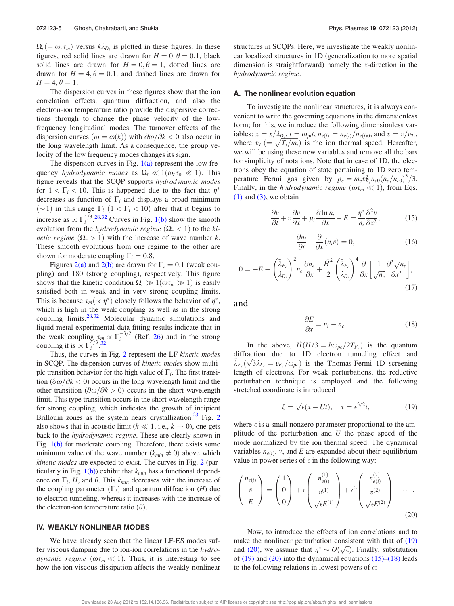$\Omega_r$ (=  $\omega_r \tau_m$ ) versus  $k \lambda_{D_i}$  is plotted in these figures. In these figures, red solid lines are drawn for  $H = 0, \theta = 0.1$ , black solid lines are drawn for  $H = 0, \theta = 1$ , dotted lines are drawn for  $H = 4, \theta = 0.1$ , and dashed lines are drawn for  $H = 4, \theta = 1.$ 

The dispersion curves in these figures show that the ion correlation effects, quantum diffraction, and also the electron-ion temperature ratio provide the dispersive corrections through to change the phase velocity of the lowfrequency longitudinal modes. The turnover effects of the dispersion curves  $(\omega = \omega(k))$  with  $\partial \omega/\partial k < 0$  also occur in the long wavelength limit. As a consequence, the group velocity of the low frequency modes changes its sign.

The dispersion curves in Fig.  $1(a)$  represent the low frequency *hydrodynamic modes* as  $\Omega_r \ll 1(\omega_r \tau_m \ll 1)$ . This figure reveals that the SCQP supports *hydrodynamic modes* for  $1 < \Gamma_i < 10$ . This is happened due to the fact that  $\eta^*$ decreases as function of  $\Gamma_i$  and displays a broad minimum ( $\sim$ 1) in this range  $\Gamma_i$  (1 <  $\Gamma_i$  < 10) after that it begins to increase as  $\propto \Gamma_i^{4/3}$ .<sup>28,32</sup> Curves in Fig. 1(b) show the smooth evolution from the *hydrodynamic regime*  $(\Omega_r < 1)$  to the *kinetic regime*  $(\Omega_r > 1)$  with the increase of wave number *k*. These smooth evolutions from one regime to the other are shown for moderate coupling  $\Gamma_i = 0.8$ .

Figures 2(a) and 2(b) are drawn for  $\Gamma_i = 0.1$  (weak coupling) and 180 (strong coupling), respectively. This figure shows that the kinetic condition  $\Omega_r \gg 1(\omega \tau_m \gg 1)$  is easily satisfied both in weak and in very strong coupling limits. This is because  $\tau_m(\propto \eta^*)$  closely follows the behavior of  $\eta^*$ , which is high in the weak coupling as well as in the strong coupling limits.28,32 Molecular dynamic simulations and liquid-metal experimental data-fitting results indicate that in the weak coupling  $\tau_m \propto \Gamma_i^{-3/2}$  (Ref. 26) and in the strong<br>coupling it is  $\propto \Gamma_1^{4/3}$  32 coupling it is  $\propto \Gamma_i^{\frac{1}{3}}$ .

Thus, the curves in Fig. 2 represent the LF *kinetic modes* in SCQP. The dispersion curves of *kinetic modes* show multiple transition behavior for the high value of  $\Gamma_i$ . The first transition  $(\partial \omega/\partial k < 0)$  occurs in the long wavelength limit and the other transition  $(\partial \omega/\partial k > 0)$  occurs in the short wavelength limit. This type transition occurs in the short wavelength range for strong coupling, which indicates the growth of incipient Brillouin zones as the system nears crystallization.<sup>23</sup> Fig. 2 also shows that in acoustic limit ( $k \ll 1$ , i.e.,  $k \to 0$ ), one gets back to the *hydrodynamic regime*. These are clearly shown in Fig. 1(b) for moderate coupling. Therefore, there exists some minimum value of the wave number  $(k_{min} \neq 0)$  above which *kinetic modes* are expected to exist. The curves in Fig. 2 (particularly in Fig. 1(b)) exhibit that *kmin* has a functional dependence on  $\Gamma_i$ , *H*, and  $\theta$ . This  $k_{min}$  decreases with the increase of the coupling parameter  $(\Gamma_i)$  and quantum diffraction (*H*) due to electron tunneling, whereas it increases with the increase of the electron-ion temperature ratio  $(\theta)$ .

#### IV. WEAKLY NONLINEAR MODES

We have already seen that the linear LF-ES modes suffer viscous damping due to ion-ion correlations in the *hydrodynamic regime* ( $\omega \tau_m \ll 1$ ). Thus, it is interesting to see how the ion viscous dissipation affects the weakly nonlinear structures in SCQPs. Here, we investigate the weakly nonlinear localized structures in 1D (generalization to more spatial dimension is straightforward) namely the *x*-direction in the *hydrodynamic regime*.

#### A. The nonlinear evolution equation

To investigate the nonlinear structures, it is always convenient to write the governing equations in the dimensionless form; for this, we introduce the following dimensionless variables:  $\bar{x} = x/\lambda_{D_i}, \bar{t} = \omega_{pi}, n_{e(i)} = n_{e(i)}/n_{e(i)0},$  and  $\bar{v} = v/v_i$ , where  $v_{T_i} = \sqrt{T_i/m_i}$  is the ion thermal speed. Hereafter, we will be using these new variables and remove all the bars for simplicity of notations. Note that in case of 1D, the electrons obey the equation of state pertaining to 1D zero temperature Fermi gas given by  $p_e = m_e v_{F_e}^2 n_{e0} (n_e/n_{e0})^3 / 3$ . Finally, in the *hydrodynamic regime* ( $\omega \tau_m \ll 1$ ), from Eqs.  $(1)$  and  $(3)$ , we obtain

$$
\frac{\partial v}{\partial t} + v \frac{\partial v}{\partial x} + \mu_i \frac{\partial \ln n_i}{\partial x} - E = \frac{\eta^*}{n_i} \frac{\partial^2 v}{\partial x^2},
$$
(15)

$$
\frac{\partial n_i}{\partial t} + \frac{\partial}{\partial x}(n_i v) = 0,\t(16)
$$

$$
0 = -E - \left(\frac{\tilde{\lambda}_{F_e}}{\lambda_{D_i}}\right)^2 n_e \frac{\partial n_e}{\partial x} + \frac{\tilde{H}^2}{2} \left(\frac{\tilde{\lambda}_{F_e}}{\lambda_{D_i}}\right)^4 \frac{\partial}{\partial x} \left[\frac{1}{\sqrt{n_e}} \frac{\partial^2 \sqrt{n_e}}{\partial x^2}\right],
$$
\n(17)

and

$$
\frac{\partial E}{\partial x} = n_i - n_e. \tag{18}
$$

In the above,  $\tilde{H}(H/3 = \hbar \omega_{pe}/2T_{Fe})$  is the quantum diffraction due to 1D electron tunneling effect and  $\lambda_{Fe}(\sqrt{3}\lambda_{Fe} = v_{Fe}/\omega_{pe})$  is the Thomas-Fermi 1D screening length of electrons. For weak perturbations, the reductive perturbation technique is employed and the following stretched coordinate is introduced

$$
\xi = \sqrt{\epsilon}(x - Ut), \quad \tau = \epsilon^{3/2}t,\tag{19}
$$

where  $\epsilon$  is a small nonzero parameter proportional to the amplitude of the perturbation and *U* the phase speed of the mode normalized by the ion thermal speed. The dynamical variables  $n_{e(i)}$ , *v*, and *E* are expanded about their equilibrium value in power series of  $\epsilon$  in the following way:

$$
\begin{pmatrix} n_{e(i)} \\ v \\ E \end{pmatrix} = \begin{pmatrix} 1 \\ 0 \\ 0 \end{pmatrix} + \epsilon \begin{pmatrix} n_{e(i)}^{(1)} \\ v^{(1)} \\ \sqrt{\epsilon}E^{(1)} \end{pmatrix} + \epsilon^2 \begin{pmatrix} n_{e(i)}^{(2)} \\ v^{(2)} \\ \sqrt{\epsilon}E^{(2)} \end{pmatrix} + \cdots
$$
\n(20)

Now, to introduce the effects of ion correlations and to make the nonlinear perturbation consistent with that of  $(19)$ and (20), we assume that  $\eta^* \sim O(\sqrt{\epsilon})$ . Finally, substitution of  $(19)$  and  $(20)$  into the dynamical equations  $(15)$ – $(18)$  leads to the following relations in lowest powers of  $\epsilon$ :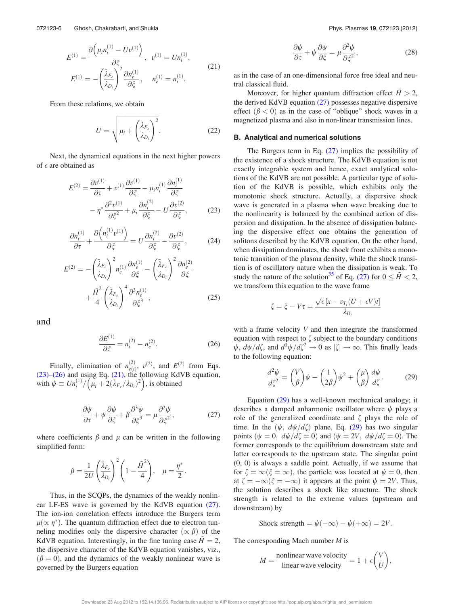$$
E^{(1)} = \frac{\partial \left(\mu_i n_i^{(1)} - U v^{(1)}\right)}{\partial \xi}, \quad v^{(1)} = U n_i^{(1)},
$$
  

$$
E^{(1)} = -\left(\frac{\tilde{\lambda}_{F_e}}{\lambda_{D_i}}\right)^2 \frac{\partial n_e^{(1)}}{\partial \xi}, \quad n_e^{(1)} = n_i^{(1)}.
$$
 (21)

From these relations, we obtain

$$
U = \sqrt{\mu_i + \left(\frac{\tilde{\lambda}_{F_e}}{\lambda_{D_i}}\right)^2}.
$$
 (22)

Next, the dynamical equations in the next higher powers of  $\epsilon$  are obtained as

$$
E^{(2)} = \frac{\partial v^{(1)}}{\partial \tau} + v^{(1)} \frac{\partial v^{(1)}}{\partial \xi} - \mu_i n_i^{(1)} \frac{\partial n_i^{(1)}}{\partial \xi} - \eta^* \frac{\partial^2 v^{(1)}}{\partial \xi^2} + \mu_i \frac{\partial n_i^{(2)}}{\partial \xi} - U \frac{\partial v^{(2)}}{\partial \xi},
$$
(23)

$$
\frac{\partial n_i^{(1)}}{\partial \tau} + \frac{\partial \left( n_i^{(1)} v^{(1)} \right)}{\partial \xi} = U \frac{\partial n_i^{(2)}}{\partial \xi} - \frac{\partial v^{(2)}}{\partial \xi},\tag{24}
$$

$$
E^{(2)} = -\left(\frac{\tilde{\lambda}_{F_e}}{\lambda_{D_i}}\right)^2 n_e^{(1)} \frac{\partial n_e^{(1)}}{\partial \xi} - \left(\frac{\tilde{\lambda}_{F_e}}{\lambda_{D_i}}\right)^2 \frac{\partial n_e^{(2)}}{\partial \xi} + \frac{\tilde{H}^2}{4} \left(\frac{\tilde{\lambda}_{F_e}}{\lambda_{D_i}}\right)^4 \frac{\partial^3 n_e^{(1)}}{\partial \xi^3},
$$
(25)

and

$$
\frac{\partial E^{(1)}}{\partial \xi} = n_i^{(2)} - n_e^{(2)}.
$$
 (26)

Finally, elimination of  $n_{\text{eff}}^{(2)}$  $e^{(2)}_{e(i)}, v^{(2)}, \text{ and } E^{(2)} \text{ from Eqs.}$ (23)–(26) and using Eq. (21), the following KdVB equation, with  $\psi \equiv \frac{Un_i^{(1)}}{\mu_i + 2(\lambda_{F_e}/\lambda_{D_i})^2}$ , is obtained

$$
\frac{\partial \psi}{\partial \tau} + \psi \frac{\partial \psi}{\partial \xi} + \beta \frac{\partial^3 \psi}{\partial \xi^3} = \mu \frac{\partial^2 \psi}{\partial \xi^2},\tag{27}
$$

:

where coefficients  $\beta$  and  $\mu$  can be written in the following simplified form:

$$
\beta = \frac{1}{2U} \left( \frac{\tilde{\lambda}_{F_e}}{\lambda_{D_i}} \right)^2 \left( 1 - \frac{\tilde{H}^2}{4} \right), \quad \mu = \frac{\eta^*}{2}
$$

Thus, in the SCQPs, the dynamics of the weakly nonlinear LF-ES wave is governed by the KdVB equation (27). The ion-ion correlation effects introduce the Burgers term  $\mu(\propto \eta^*)$ . The quantum diffraction effect due to electron tunneling modifies only the dispersive character  $(\propto \beta)$  of the KdVB equation. Interestingly, in the fine tuning case  $H = 2$ , the dispersive character of the KdVB equation vanishes, viz.,  $(\beta = 0)$ , and the dynamics of the weakly nonlinear wave is governed by the Burgers equation

$$
\frac{\partial \psi}{\partial \tau} + \psi \frac{\partial \psi}{\partial \xi} = \mu \frac{\partial^2 \psi}{\partial \xi^2},\tag{28}
$$

as in the case of an one-dimensional force free ideal and neutral classical fluid.

Moreover, for higher quantum diffraction effect  $H > 2$ , the derived KdVB equation (27) possesses negative dispersive effect  $(\beta < 0)$  as in the case of "oblique" shock waves in a magnetized plasma and also in non-linear transmission lines.

#### B. Analytical and numerical solutions

The Burgers term in Eq.  $(27)$  implies the possibility of the existence of a shock structure. The KdVB equation is not exactly integrable system and hence, exact analytical solutions of the KdVB are not possible. A particular type of solution of the KdVB is possible, which exhibits only the monotonic shock structure. Actually, a dispersive shock wave is generated in a plasma when wave breaking due to the nonlinearity is balanced by the combined action of dispersion and dissipation. In the absence of dissipation balancing the dispersive effect one obtains the generation of solitons described by the KdVB equation. On the other hand, when dissipation dominates, the shock front exhibits a monotonic transition of the plasma density, while the shock transition is of oscillatory nature when the dissipation is weak. To study the nature of the solution<sup>35</sup> of Eq. (27) for  $0 \leq \tilde{H} < 2$ , we transform this equation to the wave frame

$$
\zeta = \xi - V\tau = \frac{\sqrt{\epsilon} \left[ x - v_{T_i} (U + \epsilon V) t \right]}{\lambda_{D_i}}
$$

with a frame velocity *V* and then integrate the transformed equation with respect to  $\zeta$  subject to the boundary conditions  $\psi$ ,  $d\psi/d\zeta$ , and  $d^2\psi/d\zeta^2 \to 0$  as  $|\zeta| \to \infty$ . This finally leads to the following equation:

$$
\frac{d^2\psi}{d\zeta^2} = \left(\frac{V}{\beta}\right)\psi - \left(\frac{1}{2\beta}\right)\psi^2 + \left(\frac{\mu}{\beta}\right)\frac{d\psi}{d\zeta}.
$$
 (29)

Equation (29) has a well-known mechanical analogy; it describes a damped anharmonic oscillator where  $\psi$  plays a role of the generalized coordinate and  $\zeta$  plays the role of time. In the  $(\psi, d\psi/d\zeta)$  plane, Eq. (29) has two singular points  $(\psi = 0, d\psi/d\zeta = 0)$  and  $(\psi = 2V, d\psi/d\zeta = 0)$ . The former corresponds to the equilibrium downstream state and latter corresponds to the upstream state. The singular point (0, 0) is always a saddle point. Actually, if we assume that for  $\zeta = \infty (\xi = \infty)$ , the particle was located at  $\psi = 0$ , then at  $\zeta = -\infty(\xi = -\infty)$  it appears at the point  $\psi = 2V$ . Thus, the solution describes a shock like structure. The shock strength is related to the extreme values (upstream and downstream) by

$$
Check \text{ strength} = \psi(-\infty) - \psi(+\infty) = 2V.
$$

The corresponding Mach number *M* is

$$
M = \frac{\text{nonlinear wave velocity}}{\text{linear wave velocity}} = 1 + \epsilon \left(\frac{V}{U}\right),
$$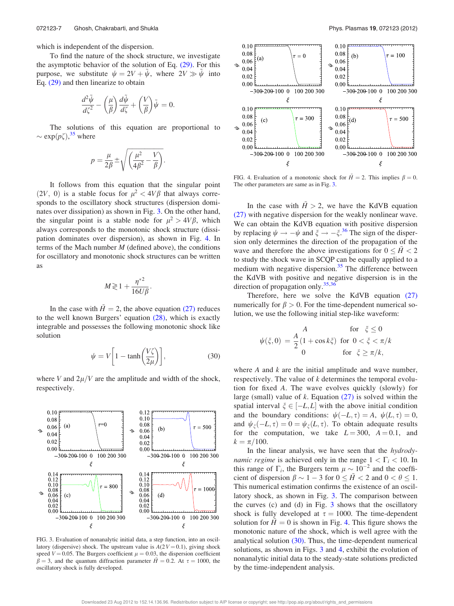which is independent of the dispersion.

To find the nature of the shock structure, we investigate the asymptotic behavior of the solution of Eq. (29). For this purpose, we substitute  $\psi = 2V + \psi$ , where  $2V \gg \psi$  into Eq. (29) and then linearize to obtain

$$
\frac{d^2\tilde{\psi}}{d\zeta^2} - \left(\frac{\mu}{\beta}\right)\frac{d\tilde{\psi}}{d\zeta} + \left(\frac{V}{\beta}\right)\tilde{\psi} = 0.
$$

The solutions of this equation are proportional to  $\sim \exp(p\zeta),^{35}$  where

$$
p = \frac{\mu}{2\beta} \pm \sqrt{\left(\frac{\mu^2}{4\beta^2} - \frac{V}{\beta}\right)}.
$$

It follows from this equation that the singular point (2*V*, 0) is a stable focus for  $\mu^2 < 4V\beta$  that always corresponds to the oscillatory shock structures (dispersion dominates over dissipation) as shown in Fig. 3. On the other hand, the singular point is a stable node for  $\mu^2 > 4V\beta$ , which always corresponds to the monotonic shock structure (dissipation dominates over dispersion), as shown in Fig. 4. In terms of the Mach number *M* (defined above), the conditions for oscillatory and monotonic shock structures can be written as

$$
M \gtrless 1 + \frac{\eta^{*2}}{16U\beta}.
$$

In the case with  $H = 2$ , the above equation (27) reduces to the well known Burgers' equation (28), which is exactly integrable and possesses the following monotonic shock like solution

$$
\psi = V \left[ 1 - \tanh\left(\frac{V\zeta}{2\mu}\right) \right],\tag{30}
$$

where *V* and  $2\mu$ /*V* are the amplitude and width of the shock, respectively.



FIG. 3. Evaluation of nonanalytic initial data, a step function, into an oscillatory (dispersive) shock. The upstream value is  $A(2V = 0.1)$ , giving shock speed  $V = 0.05$ . The Burgers coefficient  $\mu = 0.03$ , the dispersion coefficient  $\beta = 3$ , and the quantum diffraction parameter  $\tilde{H} = 0.2$ . At  $\tau = 1000$ , the oscillatory shock is fully developed.



FIG. 4. Evaluation of a monotonic shock for  $\tilde{H} = 2$ . This implies  $\beta = 0$ . The other parameters are same as in Fig. 3.

In the case with  $\tilde{H} > 2$ , we have the KdVB equation (27) with negative dispersion for the weakly nonlinear wave. We can obtain the KdVB equation with positive dispersion by replacing  $\psi \to -\psi$  and  $\xi \to -\xi$ .<sup>36</sup> The sign of the dispersion only determines the direction of the propagation of the wave and therefore the above investigations for  $0 \leq \tilde{H} < 2$ to study the shock wave in SCQP can be equally applied to a medium with negative dispersion. $35$  The difference between the KdVB with positive and negative dispersion is in the direction of propagation only.  $35,36$ 

Therefore, here we solve the KdVB equation (27) numerically for  $\beta > 0$ . For the time-dependent numerical solution, we use the following initial step-like waveform:

$$
\psi(\xi,0) = \frac{A}{2} \begin{cases} 1 & \text{for } \xi \le 0 \\ 1 + \cos k\xi & \text{for } 0 < \xi < \pi/k \\ 0 & \text{for } \xi \ge \pi/k, \end{cases}
$$

where *A* and *k* are the initial amplitude and wave number, respectively. The value of *k* determines the temporal evolution for fixed *A*. The wave evolves quickly (slowly) for large (small) value of *k*. Equation (27) is solved within the spatial interval  $\xi \in [-L, L]$  with the above initial condition and the boundary conditions:  $\psi(-L, \tau) = A$ ,  $\psi(L, \tau) = 0$ , and  $\psi_{\xi}(-L, \tau) = 0 = \psi_{\xi}(L, \tau)$ . To obtain adequate results for the computation, we take  $L = 300$ ,  $A = 0.1$ , and  $k = \pi/100$ .

In the linear analysis, we have seen that the *hydrodynamic regime* is achieved only in the range  $1 < \Gamma_i < 10$ . In this range of  $\Gamma_i$ , the Burgers term  $\mu \sim 10^{-2}$  and the coefficient of dispersion  $\beta \sim 1 - 3$  for  $0 \le \tilde{H} < 2$  and  $0 < \theta \le 1$ . This numerical estimation confirms the existence of an oscillatory shock, as shown in Fig. 3. The comparison between the curves (c) and (d) in Fig. 3 shows that the oscillatory shock is fully developed at  $\tau = 1000$ . The time-dependent solution for  $H = 0$  is shown in Fig. 4. This figure shows the monotonic nature of the shock, which is well agree with the analytical solution (30). Thus, the time-dependent numerical solutions, as shown in Figs. 3 and 4, exhibit the evolution of nonanalytic initial data to the steady-state solutions predicted by the time-independent analysis.